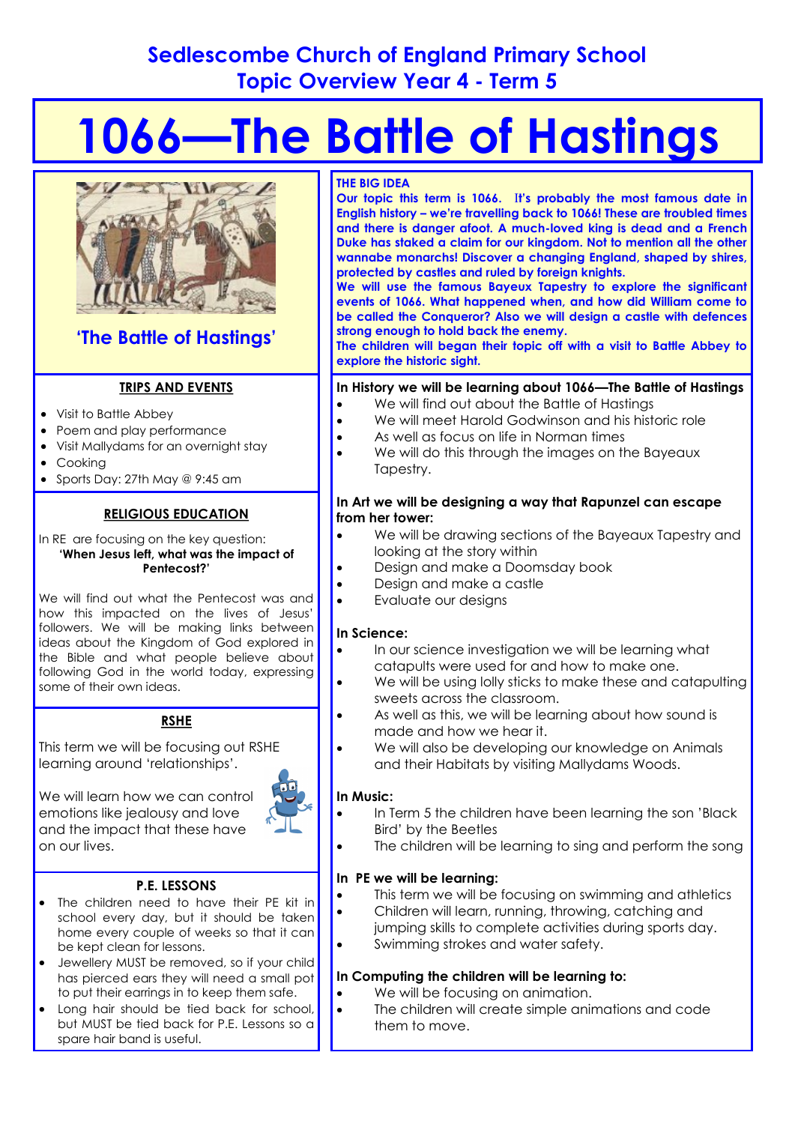# **Sedlescombe Church of England Primary School Topic Overview Year 4 - Term 5**

# **1066—The Battle of Hastings**



# **'The Battle of Hastings'**

## **TRIPS AND EVENTS**

- Visit to Battle Abbey
- Poem and play performance
- Visit Mallydams for an overnight stay
- Cooking
- Sports Day: 27th May @ 9:45 am

# **RELIGIOUS EDUCATION**

In RE are focusing on the key question: **'When Jesus left, what was the impact of Pentecost?'** 

We will find out what the Pentecost was and how this impacted on the lives of Jesus' followers. We will be making links between ideas about the Kingdom of God explored in the Bible and what people believe about following God in the world today, expressing some of their own ideas.

# **RSHE**

This term we will be focusing out RSHE learning around 'relationships'.

We will learn how we can control emotions like jealousy and love and the impact that these have on our lives.

# **P.E. LESSONS**

- The children need to have their PE kit in school every day, but it should be taken home every couple of weeks so that it can be kept clean for lessons.
- Jewellery MUST be removed, so if your child has pierced ears they will need a small pot to put their earrings in to keep them safe.
- Long hair should be tied back for school, but MUST be tied back for P.E. Lessons so a spare hair band is useful.

#### **THE BIG IDEA**

**Our topic this term is 1066.** I**t's probably the most famous date in English history – we're travelling back to 1066! These are troubled times and there is danger afoot. A much-loved king is dead and a French Duke has staked a claim for our kingdom. Not to mention all the other wannabe monarchs! Discover a changing England, shaped by shires, protected by castles and ruled by foreign knights.** 

**We will use the famous Bayeux Tapestry to explore the significant events of 1066. What happened when, and how did William come to be called the Conqueror? Also we will design a castle with defences strong enough to hold back the enemy.** 

**The children will began their topic off with a visit to Battle Abbey to explore the historic sight.**

#### **In History we will be learning about 1066—The Battle of Hastings**

- We will find out about the Battle of Hastings
	- We will meet Harold Godwinson and his historic role
- As well as focus on life in Norman times
- We will do this through the images on the Bayeaux Tapestry.

#### **In Art we will be designing a way that Rapunzel can escape from her tower:**

- We will be drawing sections of the Bayeaux Tapestry and looking at the story within
- Design and make a Doomsday book
- Design and make a castle
- Evaluate our designs

## **In Science:**

- In our science investigation we will be learning what catapults were used for and how to make one.
- We will be using lolly sticks to make these and catapulting sweets across the classroom.
- As well as this, we will be learning about how sound is made and how we hear it.
- We will also be developing our knowledge on Animals and their Habitats by visiting Mallydams Woods.

## **In Music:**

- In Term 5 the children have been learning the son 'Black Bird' by the Beetles
- The children will be learning to sing and perform the song

## **In PE we will be learning:**

- This term we will be focusing on swimming and athletics
- Children will learn, running, throwing, catching and jumping skills to complete activities during sports day.
- Swimming strokes and water safety.

## **In Computing the children will be learning to:**

- We will be focusing on animation.
- The children will create simple animations and code them to move.